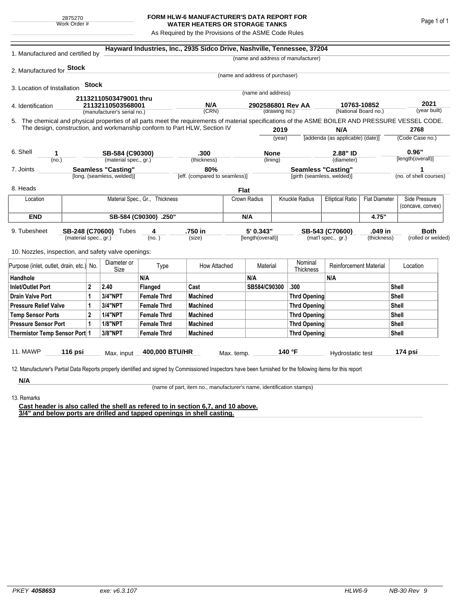## **FORM HLW-6 MANUFACTURER'S DATA REPORT FOR WATER HEATERS OR STORAGE TANKS**

As Required by the Provisions of the ASME Code Rules

| 1. Manufactured and certified by                                                                                                                              |                       |       |                                                                           | Hayward Industries, Inc., 2935 Sidco Drive, Nashville, Tennessee, 37204<br>(name and address of manufacturer) |                               |               |                                 |                           |                                           |                                         |                      |                    |                        |  |
|---------------------------------------------------------------------------------------------------------------------------------------------------------------|-----------------------|-------|---------------------------------------------------------------------------|---------------------------------------------------------------------------------------------------------------|-------------------------------|---------------|---------------------------------|---------------------------|-------------------------------------------|-----------------------------------------|----------------------|--------------------|------------------------|--|
| 2. Manufactured for <b>Stock</b>                                                                                                                              |                       |       |                                                                           |                                                                                                               |                               |               |                                 |                           |                                           |                                         |                      |                    |                        |  |
|                                                                                                                                                               |                       |       |                                                                           |                                                                                                               |                               |               | (name and address of purchaser) |                           |                                           |                                         |                      |                    |                        |  |
| 3. Location of Installation                                                                                                                                   |                       | Stock |                                                                           |                                                                                                               |                               |               |                                 |                           |                                           |                                         |                      |                    |                        |  |
|                                                                                                                                                               |                       |       | 21132110503479001 thru                                                    |                                                                                                               |                               |               | (name and address)              |                           |                                           |                                         |                      |                    |                        |  |
| 4. Identification                                                                                                                                             |                       |       | 21132110503568001                                                         |                                                                                                               | N/A                           |               | 2902586801 Rev AA               |                           |                                           | 10763-10852                             |                      |                    | 2021                   |  |
| (manufacturer's serial no.)                                                                                                                                   |                       |       |                                                                           |                                                                                                               | (CRN)                         | (drawing no.) |                                 | (National Board no.)      |                                           |                                         | (year built)         |                    |                        |  |
| 5. The chemical and physical properties of all parts meet the requirements of material specifications of the ASME BOILER AND PRESSURE VESSEL CODE.            |                       |       |                                                                           |                                                                                                               |                               |               |                                 |                           |                                           |                                         |                      |                    |                        |  |
|                                                                                                                                                               |                       |       | The design, construction, and workmanship conform to Part HLW, Section IV |                                                                                                               |                               |               | 2019                            |                           |                                           | N/A<br>[addenda (as applicable) (date)] |                      |                    | 2768                   |  |
|                                                                                                                                                               |                       |       |                                                                           |                                                                                                               |                               |               |                                 | (vear)                    |                                           |                                         |                      |                    | (Code Case no.)        |  |
| 6. Shell<br>1                                                                                                                                                 |                       |       | SB-584 (C90300)                                                           |                                                                                                               | .300                          |               | <b>None</b>                     |                           |                                           | 2.88" ID                                |                      |                    | 0.96"                  |  |
| (no.)                                                                                                                                                         |                       |       | (material spec., gr.)                                                     |                                                                                                               | (thickness)                   |               | (lining)                        |                           |                                           | (diameter)                              |                      |                    | [length(overall)]      |  |
| 7. Joints                                                                                                                                                     |                       |       | <b>Seamless "Casting"</b>                                                 |                                                                                                               | 80%                           |               |                                 | <b>Seamless "Casting"</b> |                                           |                                         |                      | 1                  |                        |  |
| [long. (seamless, welded)]                                                                                                                                    |                       |       |                                                                           |                                                                                                               | [eff. (compared to seamless)] |               |                                 |                           |                                           | [girth (seamless, welded)]              |                      |                    | (no. of shell courses) |  |
| 8. Heads                                                                                                                                                      |                       |       |                                                                           |                                                                                                               |                               | <b>Flat</b>   |                                 |                           |                                           |                                         |                      |                    |                        |  |
| Location                                                                                                                                                      |                       |       | Material Spec., Gr., Thickness                                            |                                                                                                               |                               |               | Crown Radius                    |                           | Knuckle Radius<br><b>Elliptical Ratio</b> |                                         | <b>Flat Diameter</b> | Side Pressure      |                        |  |
|                                                                                                                                                               |                       |       |                                                                           |                                                                                                               |                               |               |                                 |                           |                                           |                                         |                      |                    | (concave, convex)      |  |
| <b>END</b>                                                                                                                                                    | SB-584 (C90300) .250" |       |                                                                           |                                                                                                               |                               |               | N/A                             |                           |                                           |                                         | 4.75"                |                    |                        |  |
| 9. Tubesheet                                                                                                                                                  |                       |       | SB-248 (C70600) Tubes<br>4                                                |                                                                                                               | .750 in                       |               | 5' 0.343"                       |                           | SB-543 (C70600)<br>.049 in                |                                         |                      | <b>Both</b>        |                        |  |
| (material spec., gr.)                                                                                                                                         |                       |       |                                                                           | (no. )                                                                                                        | (size)                        |               | [length(overall)]               |                           | (mat'l spec., gr.)<br>(thickness)         |                                         |                      | (rolled or welded) |                        |  |
| 10. Nozzles, inspection, and safety valve openings:                                                                                                           |                       |       |                                                                           |                                                                                                               |                               |               |                                 |                           |                                           |                                         |                      |                    |                        |  |
|                                                                                                                                                               |                       |       | Diameter or                                                               | Type                                                                                                          | How Attached                  |               | Material                        |                           | Nominal                                   | <b>Reinforcement Material</b>           |                      |                    | Location               |  |
| Purpose (inlet, outlet, drain, etc.) No.                                                                                                                      |                       |       | Size                                                                      |                                                                                                               |                               |               |                                 |                           | Thickness                                 |                                         |                      |                    |                        |  |
| Handhole                                                                                                                                                      |                       |       |                                                                           | N/A                                                                                                           |                               |               | N/A                             |                           |                                           | N/A                                     |                      |                    |                        |  |
| <b>Inlet/Outlet Port</b><br>2                                                                                                                                 |                       | 2.40  | Flanged                                                                   | Cast                                                                                                          |                               | SB584/C90300  |                                 | .300                      |                                           | Shell                                   |                      |                    |                        |  |
| <b>Drain Valve Port</b>                                                                                                                                       |                       |       | 3/4"NPT                                                                   | <b>Female Thrd</b>                                                                                            | <b>Machined</b>               |               |                                 |                           | <b>Thrd Opening</b>                       |                                         |                      | Shell              |                        |  |
| <b>Pressure Relief Valve</b>                                                                                                                                  |                       |       | 3/4"NPT                                                                   | <b>Female Thrd</b>                                                                                            | <b>Machined</b>               |               |                                 |                           | Thrd Opening                              |                                         |                      | Shell              |                        |  |
| $\overline{2}$<br><b>Temp Sensor Ports</b>                                                                                                                    |                       |       | <b>1/4"NPT</b>                                                            | <b>Female Thrd</b>                                                                                            | <b>Machined</b>               |               |                                 |                           | Thrd Opening                              |                                         |                      | Shell              |                        |  |
| <b>Pressure Sensor Port</b><br>1                                                                                                                              |                       |       | <b>1/8"NPT</b>                                                            | <b>Female Thrd</b>                                                                                            | <b>Machined</b>               |               |                                 |                           | Thrd Opening                              |                                         |                      | Shell              |                        |  |
| 3/8"NPT<br>Thermistor Temp Sensor Port 1<br><b>Female Thrd</b><br><b>Machined</b><br>Thrd Opening<br>Shell                                                    |                       |       |                                                                           |                                                                                                               |                               |               |                                 |                           |                                           |                                         |                      |                    |                        |  |
| 11. MAWP                                                                                                                                                      |                       |       |                                                                           | 400,000 BTU/HR                                                                                                |                               |               |                                 |                           | 140 °F                                    |                                         |                      |                    |                        |  |
|                                                                                                                                                               | 116 $psi$ si          |       | Max. input                                                                |                                                                                                               |                               | Max. temp.    |                                 |                           |                                           | Hydrostatic test                        |                      |                    | 174 psi                |  |
| 12. Manufacturer's Partial Data Reports properly identified and signed by Commissioned Inspectors have been furnished for the following items for this report |                       |       |                                                                           |                                                                                                               |                               |               |                                 |                           |                                           |                                         |                      |                    |                        |  |
| N/A                                                                                                                                                           |                       |       |                                                                           |                                                                                                               |                               |               |                                 |                           |                                           |                                         |                      |                    |                        |  |
|                                                                                                                                                               |                       |       |                                                                           |                                                                                                               |                               |               |                                 |                           |                                           |                                         |                      |                    |                        |  |

13. Remarks

(name of part, item no., manufacturer's name, identification stamps)

**Cast header is also called the shell as refered to in section 6,7, and 10 above. 3/4" and below ports are drilled and tapped openings in shell casting.**